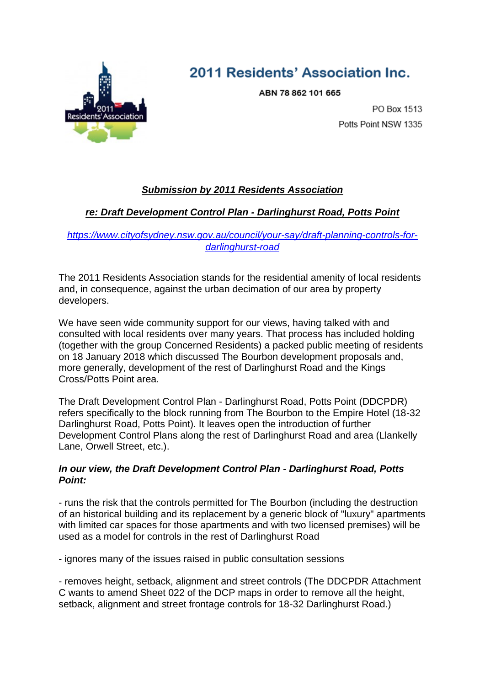

# 2011 Residents' Association Inc.

ABN 78 862 101 665

PO Box 1513 Potts Point NSW 1335

# *Submission by 2011 Residents Association*

# *re: Draft Development Control Plan - Darlinghurst Road, Potts Point*

## *[https://www.cityofsydney.nsw.gov.au/council/your-say/draft-planning-controls-for](https://www.cityofsydney.nsw.gov.au/council/your-say/draft-planning-controls-for-darlinghurst-road)[darlinghurst-road](https://www.cityofsydney.nsw.gov.au/council/your-say/draft-planning-controls-for-darlinghurst-road)*

The 2011 Residents Association stands for the residential amenity of local residents and, in consequence, against the urban decimation of our area by property developers.

We have seen wide community support for our views, having talked with and consulted with local residents over many years. That process has included holding (together with the group Concerned Residents) a packed public meeting of residents on 18 January 2018 which discussed The Bourbon development proposals and, more generally, development of the rest of Darlinghurst Road and the Kings Cross/Potts Point area.

The Draft Development Control Plan - Darlinghurst Road, Potts Point (DDCPDR) refers specifically to the block running from The Bourbon to the Empire Hotel (18-32 Darlinghurst Road, Potts Point). It leaves open the introduction of further Development Control Plans along the rest of Darlinghurst Road and area (Llankelly Lane, Orwell Street, etc.).

### *In our view, the Draft Development Control Plan - Darlinghurst Road, Potts Point:*

- runs the risk that the controls permitted for The Bourbon (including the destruction of an historical building and its replacement by a generic block of "luxury" apartments with limited car spaces for those apartments and with two licensed premises) will be used as a model for controls in the rest of Darlinghurst Road

- ignores many of the issues raised in public consultation sessions

- removes height, setback, alignment and street controls (The DDCPDR Attachment C wants to amend Sheet 022 of the DCP maps in order to remove all the height, setback, alignment and street frontage controls for 18-32 Darlinghurst Road.)